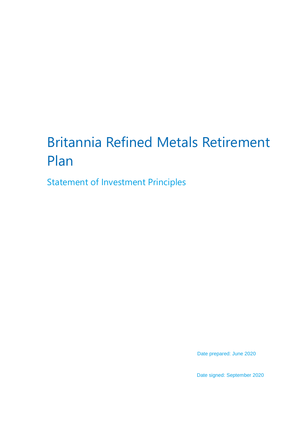# Britannia Refined Metals Retirement Plan

Statement of Investment Principles

Date prepared: June 2020

Date signed: September 2020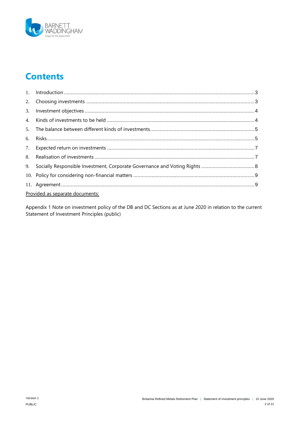

# **Contents**

| Provided as separate documents: |  |  |
|---------------------------------|--|--|

Appendix 1 Note on investment policy of the DB and DC Sections as at June 2020 in relation to the current Statement of Investment Principles (public)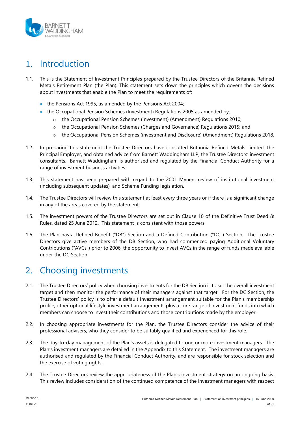

# <span id="page-2-0"></span>1. Introduction

- 1.1. This is the Statement of Investment Principles prepared by the Trustee Directors of the Britannia Refined Metals Retirement Plan (the Plan). This statement sets down the principles which govern the decisions about investments that enable the Plan to meet the requirements of:
	- the Pensions Act 1995, as amended by the Pensions Act 2004;
	- $\bullet$  the Occupational Pension Schemes (Investment) Regulations 2005 as amended by:
		- $\circ$  the Occupational Pension Schemes (Investment) (Amendment) Regulations 2010;
		- o the Occupational Pension Schemes (Charges and Governance) Regulations 2015; and
		- o the Occupational Pension Schemes (investment and Disclosure) (Amendment) Regulations 2018.
- 1.2. In preparing this statement the Trustee Directors have consulted Britannia Refined Metals Limited, the Principal Employer, and obtained advice from Barnett Waddingham LLP, the Trustee Directors' investment consultants. Barnett Waddingham is authorised and regulated by the Financial Conduct Authority for a range of investment business activities.
- 1.3. This statement has been prepared with regard to the 2001 Myners review of institutional investment (including subsequent updates), and Scheme Funding legislation.
- 1.4. The Trustee Directors will review this statement at least every three years or if there is a significant change in any of the areas covered by the statement.
- 1.5. The investment powers of the Trustee Directors are set out in Clause 10 of the Definitive Trust Deed & Rules, dated 25 June 2012. This statement is consistent with those powers.
- 1.6. The Plan has a Defined Benefit ("DB") Section and a Defined Contribution ("DC") Section. The Trustee Directors give active members of the DB Section, who had commenced paying Additional Voluntary Contributions ("AVCs") prior to 2006, the opportunity to invest AVCs in the range of funds made available under the DC Section.

### <span id="page-2-1"></span>2. Choosing investments

- 2.1. The Trustee Directors' policy when choosing investments for the DB Section is to set the overall investment target and then monitor the performance of their managers against that target. For the DC Section, the Trustee Directors' policy is to offer a default investment arrangement suitable for the Plan's membership profile, other optional lifestyle investment arrangements plus a core range of investment funds into which members can choose to invest their contributions and those contributions made by the employer.
- 2.2. In choosing appropriate investments for the Plan, the Trustee Directors consider the advice of their professional advisers, who they consider to be suitably qualified and experienced for this role.
- 2.3. The day-to-day management of the Plan's assets is delegated to one or more investment managers. The Plan's investment managers are detailed in the Appendix to this Statement. The investment managers are authorised and regulated by the Financial Conduct Authority, and are responsible for stock selection and the exercise of voting rights.
- 2.4. The Trustee Directors review the appropriateness of the Plan's investment strategy on an ongoing basis. This review includes consideration of the continued competence of the investment managers with respect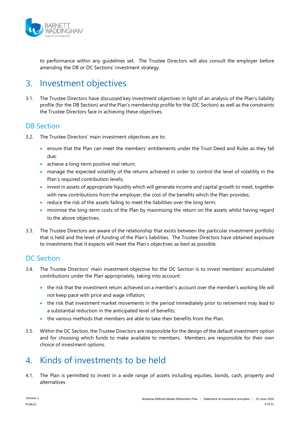

to performance within any guidelines set. The Trustee Directors will also consult the employer before amending the DB or DC Sections' investment strategy.

# <span id="page-3-0"></span>3. Investment objectives

3.1. The Trustee Directors have discussed key investment objectives in light of an analysis of the Plan's liability profile (for the DB Section) and the Plan's membership profile for the (DC Section) as well as the constraints the Trustee Directors face in achieving these objectives.

#### DB Section

- 3.2. The Trustee Directors' main investment objectives are to:
	- ensure that the Plan can meet the members' entitlements under the Trust Deed and Rules as they fall due;
	- achieve a long-term positive real return;
	- manage the expected volatility of the returns achieved in order to control the level of volatility in the Plan's required contribution levels;
	- invest in assets of appropriate liquidity which will generate income and capital growth to meet, together with new contributions from the employer, the cost of the benefits which the Plan provides;
	- reduce the risk of the assets failing to meet the liabilities over the long term;
	- minimise the long-term costs of the Plan by maximising the return on the assets whilst having regard to the above objectives.
- 3.3. The Trustee Directors are aware of the relationship that exists between the particular investment portfolio that is held and the level of funding of the Plan's liabilities. The Trustee Directors have obtained exposure to investments that it expects will meet the Plan's objectives as best as possible.

### DC Section

- 3.4. The Trustee Directors' main investment objective for the DC Section is to invest members' accumulated contributions under the Plan appropriately, taking into account:
	- the risk that the investment return achieved on a member's account over the member's working life will not keep pace with price and wage inflation;
	- the risk that investment market movements in the period immediately prior to retirement may lead to a substantial reduction in the anticipated level of benefits;
	- $\bullet$  the various methods that members are able to take their benefits from the Plan.
- 3.5. Within the DC Section, the Trustee Directors are responsible for the design of the default investment option and for choosing which funds to make available to members. Members are responsible for their own choice of investment options.

### <span id="page-3-1"></span>4. Kinds of investments to be held

4.1. The Plan is permitted to invest in a wide range of assets including equities, bonds, cash, property and alternatives.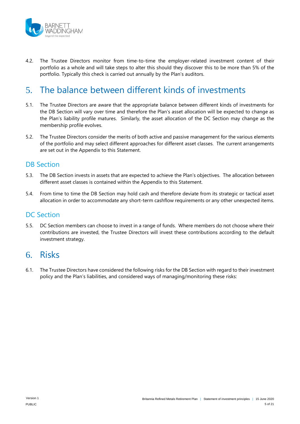

4.2. The Trustee Directors monitor from time-to-time the employer-related investment content of their portfolio as a whole and will take steps to alter this should they discover this to be more than 5% of the portfolio. Typically this check is carried out annually by the Plan's auditors.

# <span id="page-4-0"></span>5. The balance between different kinds of investments

- 5.1. The Trustee Directors are aware that the appropriate balance between different kinds of investments for the DB Section will vary over time and therefore the Plan's asset allocation will be expected to change as the Plan's liability profile matures. Similarly, the asset allocation of the DC Section may change as the membership profile evolves.
- 5.2. The Trustee Directors consider the merits of both active and passive management for the various elements of the portfolio and may select different approaches for different asset classes. The current arrangements are set out in the Appendix to this Statement.

#### DB Section

- 5.3. The DB Section invests in assets that are expected to achieve the Plan's objectives. The allocation between different asset classes is contained within the Appendix to this Statement.
- 5.4. From time to time the DB Section may hold cash and therefore deviate from its strategic or tactical asset allocation in order to accommodate any short-term cashflow requirements or any other unexpected items.

#### DC Section

5.5. DC Section members can choose to invest in a range of funds. Where members do not choose where their contributions are invested, the Trustee Directors will invest these contributions according to the default investment strategy.

### <span id="page-4-1"></span>6. Risks

6.1. The Trustee Directors have considered the following risks for the DB Section with regard to their investment policy and the Plan's liabilities, and considered ways of managing/monitoring these risks: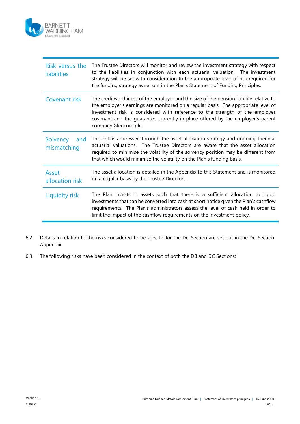

| Risk versus the<br><b>liabilities</b> | The Trustee Directors will monitor and review the investment strategy with respect<br>to the liabilities in conjunction with each actuarial valuation. The investment<br>strategy will be set with consideration to the appropriate level of risk required for<br>the funding strategy as set out in the Plan's Statement of Funding Principles.                        |
|---------------------------------------|-------------------------------------------------------------------------------------------------------------------------------------------------------------------------------------------------------------------------------------------------------------------------------------------------------------------------------------------------------------------------|
| Covenant risk                         | The creditworthiness of the employer and the size of the pension liability relative to<br>the employer's earnings are monitored on a regular basis. The appropriate level of<br>investment risk is considered with reference to the strength of the employer<br>covenant and the guarantee currently in place offered by the employer's parent<br>company Glencore plc. |
| Solvency<br>and<br>mismatching        | This risk is addressed through the asset allocation strategy and ongoing triennial<br>actuarial valuations. The Trustee Directors are aware that the asset allocation<br>required to minimise the volatility of the solvency position may be different from<br>that which would minimise the volatility on the Plan's funding basis.                                    |
| <b>Asset</b><br>allocation risk       | The asset allocation is detailed in the Appendix to this Statement and is monitored<br>on a regular basis by the Trustee Directors.                                                                                                                                                                                                                                     |
| Liquidity risk                        | The Plan invests in assets such that there is a sufficient allocation to liquid<br>investments that can be converted into cash at short notice given the Plan's cashflow<br>requirements. The Plan's administrators assess the level of cash held in order to<br>limit the impact of the cashflow requirements on the investment policy.                                |

- 6.2. Details in relation to the risks considered to be specific for the DC Section are set out in the DC Section Appendix.
- 6.3. The following risks have been considered in the context of both the DB and DC Sections: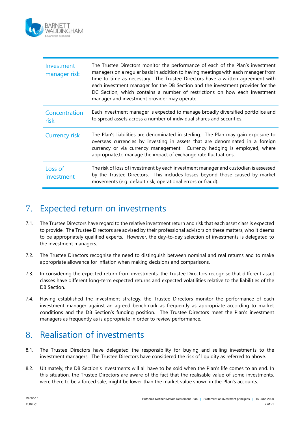

| Investment<br>manager risk | The Trustee Directors monitor the performance of each of the Plan's investment<br>managers on a regular basis in addition to having meetings with each manager from<br>time to time as necessary. The Trustee Directors have a written agreement with<br>each investment manager for the DB Section and the investment provider for the<br>DC Section, which contains a number of restrictions on how each investment<br>manager and investment provider may operate. |
|----------------------------|-----------------------------------------------------------------------------------------------------------------------------------------------------------------------------------------------------------------------------------------------------------------------------------------------------------------------------------------------------------------------------------------------------------------------------------------------------------------------|
| Concentration<br>risk      | Each investment manager is expected to manage broadly diversified portfolios and<br>to spread assets across a number of individual shares and securities.                                                                                                                                                                                                                                                                                                             |
| <b>Currency risk</b>       | The Plan's liabilities are denominated in sterling. The Plan may gain exposure to<br>overseas currencies by investing in assets that are denominated in a foreign<br>currency or via currency management. Currency hedging is employed, where<br>appropriate, to manage the impact of exchange rate fluctuations.                                                                                                                                                     |
| Loss of<br>investment      | The risk of loss of investment by each investment manager and custodian is assessed<br>by the Trustee Directors. This includes losses beyond those caused by market<br>movements (e.g. default risk, operational errors or fraud).                                                                                                                                                                                                                                    |

# <span id="page-6-0"></span>7. Expected return on investments

- 7.1. The Trustee Directors have regard to the relative investment return and risk that each asset class is expected to provide. The Trustee Directors are advised by their professional advisors on these matters, who it deems to be appropriately qualified experts. However, the day-to-day selection of investments is delegated to the investment managers.
- 7.2. The Trustee Directors recognise the need to distinguish between nominal and real returns and to make appropriate allowance for inflation when making decisions and comparisons.
- 7.3. In considering the expected return from investments, the Trustee Directors recognise that different asset classes have different long-term expected returns and expected volatilities relative to the liabilities of the DB Section.
- 7.4. Having established the investment strategy, the Trustee Directors monitor the performance of each investment manager against an agreed benchmark as frequently as appropriate according to market conditions and the DB Section's funding position. The Trustee Directors meet the Plan's investment managers as frequently as is appropriate in order to review performance.

# <span id="page-6-1"></span>8. Realisation of investments

- 8.1. The Trustee Directors have delegated the responsibility for buying and selling investments to the investment managers. The Trustee Directors have considered the risk of liquidity as referred to above.
- 8.2. Ultimately, the DB Section's investments will all have to be sold when the Plan's life comes to an end. In this situation, the Trustee Directors are aware of the fact that the realisable value of some investments, were there to be a forced sale, might be lower than the market value shown in the Plan's accounts.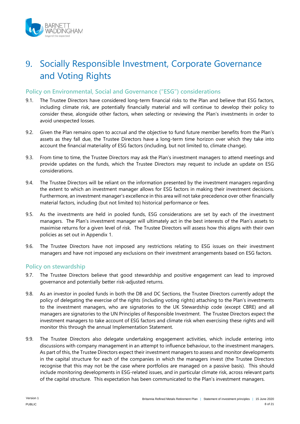

# <span id="page-7-0"></span>9. Socially Responsible Investment, Corporate Governance and Voting Rights

#### **Policy on Environmental, Social and Governance ("ESG") considerations**

- 9.1. The Trustee Directors have considered long-term financial risks to the Plan and believe that ESG factors, including climate risk, are potentially financially material and will continue to develop their policy to consider these, alongside other factors, when selecting or reviewing the Plan's investments in order to avoid unexpected losses.
- 9.2. Given the Plan remains open to accrual and the objective to fund future member benefits from the Plan's assets as they fall due, the Trustee Directors have a long-term time horizon over which they take into account the financial materiality of ESG factors (including, but not limited to, climate change).
- 9.3. From time to time, the Trustee Directors may ask the Plan's investment managers to attend meetings and provide updates on the funds, which the Trustee Directors may request to include an update on ESG considerations.
- 9.4. The Trustee Directors will be reliant on the information presented by the investment managers regarding the extent to which an investment manager allows for ESG factors in making their investment decisions. Furthermore, an investment manager's excellence in this area will not take precedence over other financially material factors, including (but not limited to) historical performance or fees.
- 9.5. As the investments are held in pooled funds, ESG considerations are set by each of the investment managers. The Plan's investment manager will ultimately act in the best interests of the Plan's assets to maximise returns for a given level of risk. The Trustee Directors will assess how this aligns with their own policies as set out in Appendix 1.
- 9.6. The Trustee Directors have not imposed any restrictions relating to ESG issues on their investment managers and have not imposed any exclusions on their investment arrangements based on ESG factors.

#### **Policy on stewardship**

- 9.7. The Trustee Directors believe that good stewardship and positive engagement can lead to improved governance and potentially better risk-adjusted returns.
- 9.8. As an investor in pooled funds in both the DB and DC Sections, the Trustee Directors currently adopt the policy of delegating the exercise of the rights (including voting rights) attaching to the Plan's investments to the investment managers, who are signatories to the UK Stewardship code (except CBRE) and all managers are signatories to the UN Principles of Responsible Investment. The Trustee Directors expect the investment managers to take account of ESG factors and climate risk when exercising these rights and will monitor this through the annual Implementation Statement.
- 9.9. The Trustee Directors also delegate undertaking engagement activities, which include entering into discussions with company management in an attempt to influence behaviour, to the investment managers. As part of this, the Trustee Directors expect their investment managers to assess and monitor developments in the capital structure for each of the companies in which the managers invest (the Trustee Directors recognise that this may not be the case where portfolios are managed on a passive basis). This should include monitoring developments in ESG-related issues, and in particular climate risk, across relevant parts of the capital structure. This expectation has been communicated to the Plan's investment managers.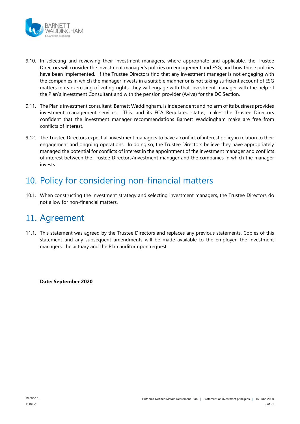

- 9.10. In selecting and reviewing their investment managers, where appropriate and applicable, the Trustee Directors will consider the investment manager's policies on engagement and ESG, and how those policies have been implemented. If the Trustee Directors find that any investment manager is not engaging with the companies in which the manager invests in a suitable manner or is not taking sufficient account of ESG matters in its exercising of voting rights, they will engage with that investment manager with the help of the Plan's Investment Consultant and with the pension provider (Aviva) for the DC Section.
- 9.11. The Plan's investment consultant, Barnett Waddingham, is independent and no arm of its business provides investment management services. This, and its FCA Regulated status, makes the Trustee Directors confident that the investment manager recommendations Barnett Waddingham make are free from conflicts of interest.
- 9.12. The Trustee Directors expect all investment managers to have a conflict of interest policy in relation to their engagement and ongoing operations. In doing so, the Trustee Directors believe they have appropriately managed the potential for conflicts of interest in the appointment of the investment manager and conflicts of interest between the Trustee Directors/investment manager and the companies in which the manager invests.

# <span id="page-8-0"></span>10. Policy for considering non-financial matters

10.1. When constructing the investment strategy and selecting investment managers, the Trustee Directors do not allow for non-financial matters.

### <span id="page-8-1"></span>11. Agreement

11.1. This statement was agreed by the Trustee Directors and replaces any previous statements. Copies of this statement and any subsequent amendments will be made available to the employer, the investment managers, the actuary and the Plan auditor upon request.

**Date: September 2020**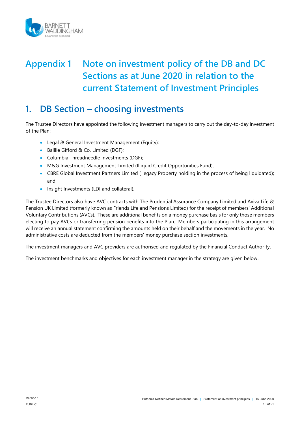

# **Appendix 1 Note on investment policy of the DB and DC Sections as at June 2020 in relation to the current Statement of Investment Principles**

### **1. DB Section – choosing investments**

The Trustee Directors have appointed the following investment managers to carry out the day-to-day investment of the Plan:

- **Legal & General Investment Management (Equity);**
- Baillie Gifford & Co. Limited (DGF);
- Columbia Threadneedle Investments (DGF);
- M&G Investment Management Limited (Illiquid Credit Opportunities Fund);
- CBRE Global Investment Partners Limited ( legacy Property holding in the process of being liquidated); and
- Insight Investments (LDI and collateral).

The Trustee Directors also have AVC contracts with The Prudential Assurance Company Limited and Aviva Life & Pension UK Limited (formerly known as Friends Life and Pensions Limited) for the receipt of members' Additional Voluntary Contributions (AVCs). These are additional benefits on a money purchase basis for only those members electing to pay AVCs or transferring pension benefits into the Plan. Members participating in this arrangement will receive an annual statement confirming the amounts held on their behalf and the movements in the year. No administrative costs are deducted from the members' money purchase section investments.

The investment managers and AVC providers are authorised and regulated by the Financial Conduct Authority.

The investment benchmarks and objectives for each investment manager in the strategy are given below.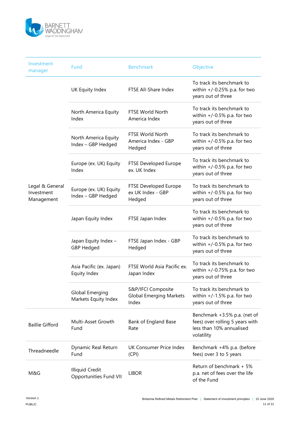

| Investment<br>manager                       | Fund                                                    | <b>Benchmark</b>                                              | Objective                                                                                                 |
|---------------------------------------------|---------------------------------------------------------|---------------------------------------------------------------|-----------------------------------------------------------------------------------------------------------|
|                                             | UK Equity Index                                         | FTSE All-Share Index                                          | To track its benchmark to<br>within $+/-0.25\%$ p.a. for two<br>years out of three                        |
|                                             | North America Equity<br>Index                           | <b>FTSE World North</b><br>America Index                      | To track its benchmark to<br>within $+/-0.5\%$ p.a. for two<br>years out of three                         |
|                                             | North America Equity<br>Index - GBP Hedged              | <b>FTSE World North</b><br>America Index - GBP<br>Hedged      | To track its benchmark to<br>within $+/-0.5\%$ p.a. for two<br>years out of three                         |
|                                             | Europe (ex. UK) Equity<br>Index                         | FTSE Developed Europe<br>ex. UK Index                         | To track its benchmark to<br>within $+/-0.5\%$ p.a. for two<br>years out of three                         |
| Legal & General<br>Investment<br>Management | Europe (ex. UK) Equity<br>Index - GBP Hedged            | FTSE Developed Europe<br>ex UK Index - GBP<br>Hedged          | To track its benchmark to<br>within $+/-0.5\%$ p.a. for two<br>years out of three                         |
|                                             | Japan Equity Index                                      | FTSE Japan Index                                              | To track its benchmark to<br>within $+/-0.5\%$ p.a. for two<br>years out of three                         |
|                                             | Japan Equity Index -<br><b>GBP Hedged</b>               | FTSE Japan Index - GBP<br>Hedged                              | To track its benchmark to<br>within $+/-0.5\%$ p.a. for two<br>years out of three                         |
|                                             | Asia Pacific (ex. Japan)<br>Equity Index                | FTSE World Asia Pacific ex.<br>Japan Index                    | To track its benchmark to<br>within $+/-0.75\%$ p.a. for two<br>years out of three                        |
|                                             | <b>Global Emerging</b><br>Markets Equity Index          | S&P/IFCI Composite<br><b>Global Emerging Markets</b><br>Index | To track its benchmark to<br>within $+/-1.5\%$ p.a. for two<br>years out of three                         |
| <b>Baillie Gifford</b>                      | Multi-Asset Growth<br>Fund                              | Bank of England Base<br>Rate                                  | Benchmark +3.5% p.a. (net of<br>fees) over rolling 5 years with<br>less than 10% annualised<br>volatility |
| Threadneedle                                | Dynamic Real Return<br>Fund                             | UK Consumer Price Index<br>(CPI)                              | Benchmark +4% p.a. (before<br>fees) over 3 to 5 years                                                     |
| M&G                                         | <b>Illiquid Credit</b><br><b>Opportunities Fund VII</b> | <b>LIBOR</b>                                                  | Return of benchmark + 5%<br>p.a. net of fees over the life<br>of the Fund                                 |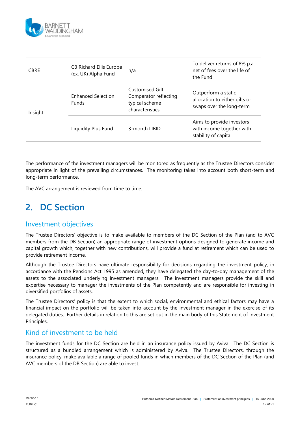

| <b>CBRE</b> | <b>CB Richard Ellis Europe</b><br>(ex. UK) Alpha Fund | n/a                                                                           | To deliver returns of 8% p.a.<br>net of fees over the life of<br>the Fund        |
|-------------|-------------------------------------------------------|-------------------------------------------------------------------------------|----------------------------------------------------------------------------------|
| Insight     | <b>Enhanced Selection</b><br><b>Funds</b>             | Customised Gilt<br>Comparator reflecting<br>typical scheme<br>characteristics | Outperform a static<br>allocation to either gilts or<br>swaps over the long-term |
|             | Liquidity Plus Fund                                   | 3-month LIBID                                                                 | Aims to provide investors<br>with income together with<br>stability of capital   |

The performance of the investment managers will be monitored as frequently as the Trustee Directors consider appropriate in light of the prevailing circumstances. The monitoring takes into account both short-term and long-term performance.

The AVC arrangement is reviewed from time to time.

# **2. DC Section**

### Investment objectives

The Trustee Directors' objective is to make available to members of the DC Section of the Plan (and to AVC members from the DB Section) an appropriate range of investment options designed to generate income and capital growth which, together with new contributions, will provide a fund at retirement which can be used to provide retirement income.

Although the Trustee Directors have ultimate responsibility for decisions regarding the investment policy, in accordance with the Pensions Act 1995 as amended, they have delegated the day-to-day management of the assets to the associated underlying investment managers. The investment managers provide the skill and expertise necessary to manager the investments of the Plan competently and are responsible for investing in diversified portfolios of assets.

The Trustee Directors' policy is that the extent to which social, environmental and ethical factors may have a financial impact on the portfolio will be taken into account by the investment manager in the exercise of its delegated duties. Further details in relation to this are set out in the main body of this Statement of Investment Principles.

#### Kind of investment to be held

The investment funds for the DC Section are held in an insurance policy issued by Aviva. The DC Section is structured as a bundled arrangement which is administered by Aviva. The Trustee Directors, through the insurance policy, make available a range of pooled funds in which members of the DC Section of the Plan (and AVC members of the DB Section) are able to invest.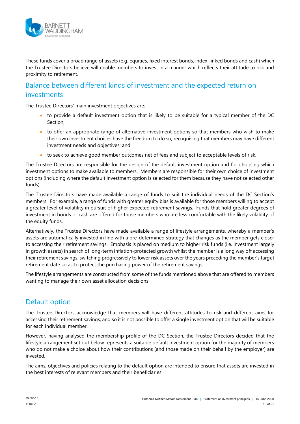

These funds cover a broad range of assets (e.g. equities, fixed interest bonds, index-linked bonds and cash) which the Trustee Directors believe will enable members to invest in a manner which reflects their attitude to risk and proximity to retirement.

#### Balance between different kinds of investment and the expected return on investments

The Trustee Directors' main investment objectives are:

- to provide a default investment option that is likely to be suitable for a typical member of the DC Section;
- to offer an appropriate range of alternative investment options so that members who wish to make their own investment choices have the freedom to do so, recognising that members may have different investment needs and objectives; and
- to seek to achieve good member outcomes net of fees and subject to acceptable levels of risk.

The Trustee Directors are responsible for the design of the default investment option and for choosing which investment options to make available to members. Members are responsible for their own choice of investment options (including where the default investment option is selected for them because they have not selected other funds).

The Trustee Directors have made available a range of funds to suit the individual needs of the DC Section's members. For example, a range of funds with greater equity bias is available for those members willing to accept a greater level of volatility in pursuit of higher expected retirement savings. Funds that hold greater degrees of investment in bonds or cash are offered for those members who are less comfortable with the likely volatility of the equity funds.

Alternatively, the Trustee Directors have made available a range of lifestyle arrangements, whereby a member's assets are automatically invested in line with a pre-determined strategy that changes as the member gets closer to accessing their retirement savings. Emphasis is placed on medium to higher risk funds (i.e. investment largely in growth assets) in search of long-term inflation-protected growth whilst the member is a long way off accessing their retirement savings, switching progressively to lower risk assets over the years preceding the member's target retirement date so as to protect the purchasing power of the retirement savings.

The lifestyle arrangements are constructed from some of the funds mentioned above that are offered to members wanting to manage their own asset allocation decisions.

### Default option

The Trustee Directors acknowledge that members will have different attitudes to risk and different aims for accessing their retirement savings, and so it is not possible to offer a single investment option that will be suitable for each individual member.

However, having analysed the membership profile of the DC Section, the Trustee Directors decided that the lifestyle arrangement set out below represents a suitable default investment option for the majority of members who do not make a choice about how their contributions (and those made on their behalf by the employer) are invested.

The aims, objectives and policies relating to the default option are intended to ensure that assets are invested in the best interests of relevant members and their beneficiaries.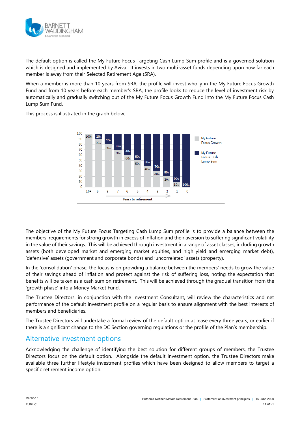

The default option is called the My Future Focus Targeting Cash Lump Sum profile and is a governed solution which is designed and implemented by Aviva. It invests in two multi-asset funds depending upon how far each member is away from their Selected Retirement Age (SRA).

When a member is more than 10 years from SRA, the profile will invest wholly in the My Future Focus Growth Fund and from 10 years before each member's SRA, the profile looks to reduce the level of investment risk by automatically and gradually switching out of the My Future Focus Growth Fund into the My Future Focus Cash Lump Sum Fund.

This process is illustrated in the graph below:



The objective of the My Future Focus Targeting Cash Lump Sum profile is to provide a balance between the members' requirements for strong growth in excess of inflation and their aversion to suffering significant volatility in the value of their savings. This will be achieved through investment in a range of asset classes, including growth assets (both developed market and emerging market equities, and high yield and emerging market debt), 'defensive' assets (government and corporate bonds) and 'uncorrelated' assets (property).

In the 'consolidation' phase, the focus is on providing a balance between the members' needs to grow the value of their savings ahead of inflation and protect against the risk of suffering loss, noting the expectation that benefits will be taken as a cash sum on retirement. This will be achieved through the gradual transition from the 'growth phase' into a Money Market Fund.

The Trustee Directors, in conjunction with the Investment Consultant, will review the characteristics and net performance of the default investment profile on a regular basis to ensure alignment with the best interests of members and beneficiaries.

The Trustee Directors will undertake a formal review of the default option at lease every three years, or earlier if there is a significant change to the DC Section governing regulations or the profile of the Plan's membership.

#### Alternative investment options

Acknowledging the challenge of identifying the best solution for different groups of members, the Trustee Directors focus on the default option. Alongside the default investment option, the Trustee Directors make available three further lifestyle investment profiles which have been designed to allow members to target a specific retirement income option.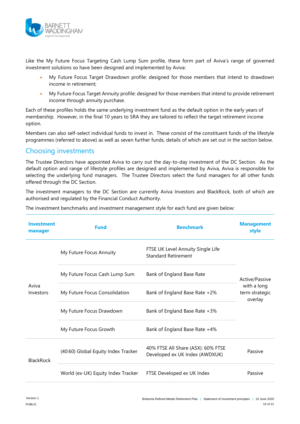

Like the My Future Focus Targeting Cash Lump Sum profile, these form part of Aviva's range of governed investment solutions so have been designed and implemented by Aviva:

- My Future Focus Target Drawdown profile: designed for those members that intend to drawdown income in retirement;
- My Future Focus Target Annuity profile: designed for those members that intend to provide retirement income through annuity purchase.

Each of these profiles holds the same underlying investment fund as the default option in the early years of membership. However, in the final 10 years to SRA they are tailored to reflect the target retirement income option.

Members can also self-select individual funds to invest in. These consist of the constituent funds of the lifestyle programmes (referred to above) as well as seven further funds, details of which are set out in the section below.

### Choosing investments

The Trustee Directors have appointed Aviva to carry out the day-to-day investment of the DC Section. As the default option and range of lifestyle profiles are designed and implemented by Aviva, Aviva is responsible for selecting the underlying fund managers. The Trustee Directors select the fund managers for all other funds offered through the DC Section.

The investment managers to the DC Section are currently Aviva Investors and BlackRock, both of which are authorised and regulated by the Financial Conduct Authority.

| Investment<br>manager | <b>Fund</b>                         | <b>Benchmark</b>                                                     | <b>Management</b><br>style               |  |
|-----------------------|-------------------------------------|----------------------------------------------------------------------|------------------------------------------|--|
|                       | My Future Focus Annuity             | FTSE UK Level Annuity Single Life<br>Standard Retirement             |                                          |  |
|                       | My Future Focus Cash Lump Sum       | Bank of England Base Rate                                            | Active/Passive                           |  |
| Aviva<br>Investors    | My Future Focus Consolidation       | Bank of England Base Rate +2%                                        | with a long<br>term strategic<br>overlay |  |
|                       | My Future Focus Drawdown            | Bank of England Base Rate +3%                                        |                                          |  |
|                       | My Future Focus Growth              | Bank of England Base Rate +4%                                        |                                          |  |
| <b>BlackRock</b>      | (40:60) Global Equity Index Tracker | 40% FTSE All Share (ASX): 60% FTSE<br>Developed ex UK Index (AWDXUK) | Passive                                  |  |
|                       | World (ex-UK) Equity Index Tracker  | FTSE Developed ex UK Index                                           | Passive                                  |  |

The investment benchmarks and investment management style for each fund are given below: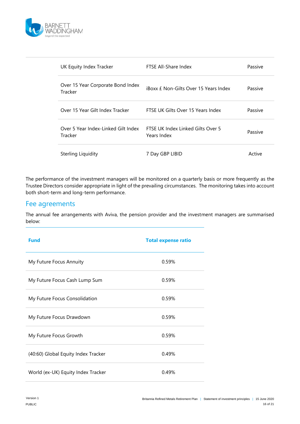

| UK Equity Index Tracker                        | FTSE All-Share Index                             | Passive |
|------------------------------------------------|--------------------------------------------------|---------|
| Over 15 Year Corporate Bond Index<br>Tracker   | iBoxx f Non-Gilts Over 15 Years Index            | Passive |
| Over 15 Year Gilt Index Tracker                | FTSE UK Gilts Over 15 Years Index                | Passive |
| Over 5 Year Index-Linked Gilt Index<br>Tracker | FTSF UK Index Linked Gilts Over 5<br>Years Index | Passive |
| Sterling Liquidity                             | 7 Day GBP LIBID                                  | Active  |

The performance of the investment managers will be monitored on a quarterly basis or more frequently as the Trustee Directors consider appropriate in light of the prevailing circumstances. The monitoring takes into account both short-term and long-term performance.

#### Fee agreements

The annual fee arrangements with Aviva, the pension provider and the investment managers are summarised below:

| <b>Fund</b>                         | <b>Total expense ratio</b> |
|-------------------------------------|----------------------------|
| My Future Focus Annuity             | 0.59%                      |
| My Future Focus Cash Lump Sum       | 0.59%                      |
| My Future Focus Consolidation       | 0.59%                      |
| My Future Focus Drawdown            | 0.59%                      |
| My Future Focus Growth              | 0.59%                      |
| (40:60) Global Equity Index Tracker | 0.49%                      |
| World (ex-UK) Equity Index Tracker  | 0.49%                      |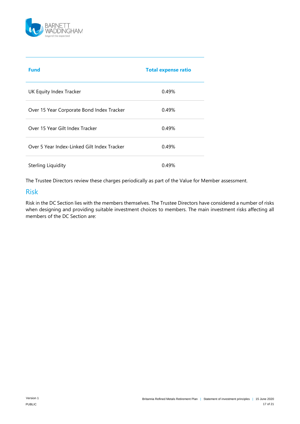

| <b>Fund</b>                                 | <b>Total expense ratio</b> |
|---------------------------------------------|----------------------------|
| UK Equity Index Tracker                     | 0.49%                      |
| Over 15 Year Corporate Bond Index Tracker   | 0.49%                      |
| Over 15 Year Gilt Index Tracker             | 0.49%                      |
| Over 5 Year Index-Linked Gilt Index Tracker | 0.49%                      |
| Sterling Liquidity                          | 0.49%                      |

The Trustee Directors review these charges periodically as part of the Value for Member assessment.

#### Risk

Risk in the DC Section lies with the members themselves. The Trustee Directors have considered a number of risks when designing and providing suitable investment choices to members. The main investment risks affecting all members of the DC Section are: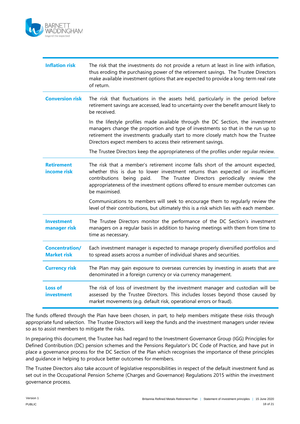

| <b>Inflation risk</b>                       | The risk that the investments do not provide a return at least in line with inflation,<br>thus eroding the purchasing power of the retirement savings. The Trustee Directors<br>make available investment options that are expected to provide a long-term real rate<br>of return.                                                                |
|---------------------------------------------|---------------------------------------------------------------------------------------------------------------------------------------------------------------------------------------------------------------------------------------------------------------------------------------------------------------------------------------------------|
| <b>Conversion risk</b>                      | The risk that fluctuations in the assets held, particularly in the period before<br>retirement savings are accessed, lead to uncertainty over the benefit amount likely to<br>be received.                                                                                                                                                        |
|                                             | In the lifestyle profiles made available through the DC Section, the investment<br>managers change the proportion and type of investments so that in the run up to<br>retirement the investments gradually start to more closely match how the Trustee<br>Directors expect members to access their retirement savings.                            |
|                                             | The Trustee Directors keep the appropriateness of the profiles under regular review.                                                                                                                                                                                                                                                              |
| <b>Retirement</b><br>income risk            | The risk that a member's retirement income falls short of the amount expected,<br>whether this is due to lower investment returns than expected or insufficient<br>The Trustee Directors periodically review the<br>contributions being paid.<br>appropriateness of the investment options offered to ensure member outcomes can<br>be maximised. |
|                                             | Communications to members will seek to encourage them to regularly review the<br>level of their contributions, but ultimately this is a risk which lies with each member.                                                                                                                                                                         |
| <b>Investment</b><br>manager risk           | The Trustee Directors monitor the performance of the DC Section's investment<br>managers on a regular basis in addition to having meetings with them from time to<br>time as necessary.                                                                                                                                                           |
| <b>Concentration/</b><br><b>Market risk</b> | Each investment manager is expected to manage properly diversified portfolios and<br>to spread assets across a number of individual shares and securities.                                                                                                                                                                                        |
| <b>Currency risk</b>                        | The Plan may gain exposure to overseas currencies by investing in assets that are<br>denominated in a foreign currency or via currency management.                                                                                                                                                                                                |
| <b>Loss of</b><br>investment                | The risk of loss of investment by the investment manager and custodian will be<br>assessed by the Trustee Directors. This includes losses beyond those caused by<br>market movements (e.g. default risk, operational errors or fraud).                                                                                                            |

The funds offered through the Plan have been chosen, in part, to help members mitigate these risks through appropriate fund selection. The Trustee Directors will keep the funds and the investment managers under review so as to assist members to mitigate the risks.

In preparing this document, the Trustee has had regard to the Investment Governance Group (IGG) Principles for Defined Contribution (DC) pension schemes and the Pensions Regulator's DC Code of Practice, and have put in place a governance process for the DC Section of the Plan which recognises the importance of these principles and guidance in helping to produce better outcomes for members.

The Trustee Directors also take account of legislative responsibilities in respect of the default investment fund as set out in the Occupational Pension Scheme (Charges and Governance) Regulations 2015 within the investment governance process.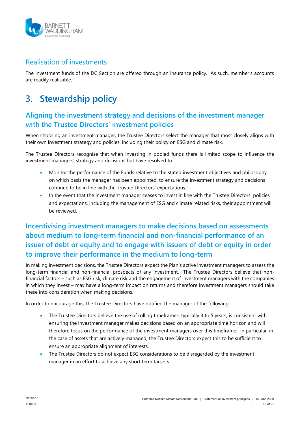

### Realisation of investments

The investment funds of the DC Section are offered through an insurance policy. As such, member's accounts are readily realisable.

# **3. Stewardship policy**

### **Aligning the investment strategy and decisions of the investment manager with the Trustee Directors' investment policies**

When choosing an investment manager, the Trustee Directors select the manager that most closely aligns with their own investment strategy and policies, including their policy on ESG and climate risk.

The Trustee Directors recognise that when investing in pooled funds there is limited scope to influence the investment managers' strategy and decisions but have resolved to:

- Monitor the performance of the Funds relative to the stated investment objectives and philosophy, on which basis the manager has been appointed, to ensure the investment strategy and decisions continue to be in line with the Trustee Directors' expectations.
- In the event that the investment manager ceases to invest in line with the Trustee Directors' policies and expectations, including the management of ESG and climate related risks, their appointment will be reviewed.

### **Incentivising investment managers to make decisions based on assessments about medium to long-term financial and non-financial performance of an issuer of debt or equity and to engage with issuers of debt or equity in order to improve their performance in the medium to long-term**

In making investment decisions, the Trustee Directors expect the Plan's active investment managers to assess the long-term financial and non-financial prospects of any investment. The Trustee Directors believe that nonfinancial factors – such as ESG risk, climate risk and the engagement of investment managers with the companies in which they invest – may have a long-term impact on returns and therefore investment managers should take these into consideration when making decisions.

In order to encourage this, the Trustee Directors have notified the manager of the following:

- The Trustee Directors believe the use of rolling timeframes, typically 3 to 5 years, is consistent with ensuring the investment manager makes decisions based on an appropriate time horizon and will therefore focus on the performance of the investment managers over this timeframe. In particular, in the case of assets that are actively managed, the Trustee Directors expect this to be sufficient to ensure an appropriate alignment of interests.
- The Trustee Directors do not expect ESG considerations to be disregarded by the investment manager in an effort to achieve any short term targets.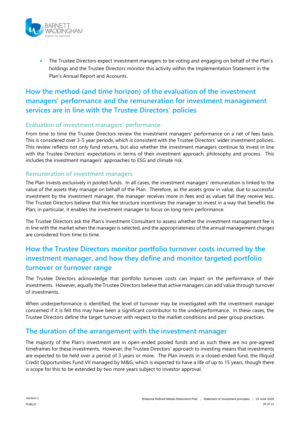

 The Trustee Directors expect investment managers to be voting and engaging on behalf of the Plan's holdings and the Trustee Directors monitor this activity within the Implementation Statement in the Plan's Annual Report and Accounts.

### **How the method (and time horizon) of the evaluation of the investment managers' performance and the remuneration for investment management services are in line with the Trustee Directors' policies**

#### **Evaluation of investment managers' performance**

From time to time the Trustee Directors review the investment managers' performance on a net of fees basis. This is considered over 3-5 year periods, which is consistent with the Trustee Directors' wider investment policies. This review reflects not only fund returns, but also whether the investment managers continue to invest in line with the Trustee Directors' expectations in terms of their investment approach, philosophy and process. This includes the investment managers' approaches to ESG and climate risk.

#### **Remuneration of investment managers**

The Plan invests exclusively in pooled funds. In all cases, the investment managers' remuneration is linked to the value of the assets they manage on behalf of the Plan. Therefore, as the assets grow in value, due to successful investment by the investment manager, the manager receives more in fees and as values fall they receive less. The Trustee Directors believe that this fee structure incentivises the manager to invest in a way that benefits the Plan; in particular, it enables the investment manager to focus on long-term performance.

The Trustee Directors ask the Plan's Investment Consultant to assess whether the investment management fee is in line with the market when the manager is selected, and the appropriateness of the annual management charges are considered from time to time.

### **How the Trustee Directors monitor portfolio turnover costs incurred by the investment manager, and how they define and monitor targeted portfolio turnover or turnover range**

The Trustee Directors acknowledge that portfolio turnover costs can impact on the performance of their investments. However, equally the Trustee Directors believe that active managers can add value through turnover of investments.

When underperformance is identified, the level of turnover may be investigated with the investment manager concerned if it is felt this may have been a significant contributor to the underperformance. In these cases, the Trustee Directors define the target turnover with respect to the market conditions and peer group practices.

#### **The duration of the arrangement with the investment manager**

The majority of the Plan's investment are in open-ended pooled funds and as such there are no pre-agreed timeframes for these investments. However, the Trustee Directors' approach to investing means that investments are expected to be held over a period of 3 years or more. The Plan invests in a closed-ended fund, the Illiquid Credit Opportunities Fund VII managed by M&G, which is expected to have a life of up to 15 years, though there is scope for this to be extended by two more years subject to investor approval.